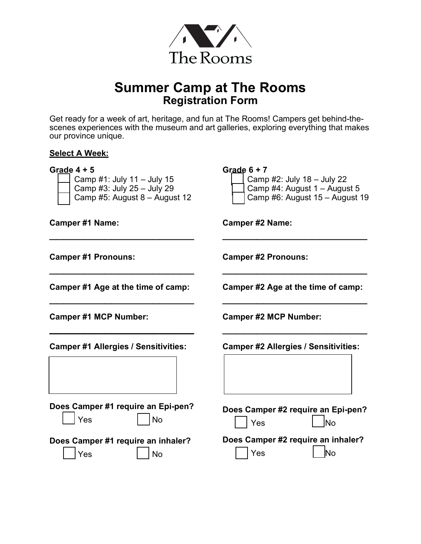

# **Summer Camp at The Rooms Registration Form**

Get ready for a week of art, heritage, and fun at The Rooms! Campers get behind-thescenes experiences with the museum and art galleries, exploring everything that makes our province unique.

#### **Select A Week:**

| Grade $4 + 5$<br>Camp #1: July 11 - July 15<br>Camp #3: July 25 - July 29<br>Camp #5: August 8 - August 12 | Grade $6 + 7$<br>Camp #2: July 18 - July 22<br>Camp #4: August 1 - August 5<br>Camp #6: August 15 - August 19 |  |
|------------------------------------------------------------------------------------------------------------|---------------------------------------------------------------------------------------------------------------|--|
| <b>Camper #1 Name:</b>                                                                                     | <b>Camper #2 Name:</b>                                                                                        |  |
| <b>Camper #1 Pronouns:</b>                                                                                 | <b>Camper #2 Pronouns:</b>                                                                                    |  |
| Camper #1 Age at the time of camp:                                                                         | Camper #2 Age at the time of camp:                                                                            |  |
| <b>Camper #1 MCP Number:</b>                                                                               | <b>Camper #2 MCP Number:</b>                                                                                  |  |
| <b>Camper #1 Allergies / Sensitivities:</b>                                                                | <b>Camper #2 Allergies / Sensitivities:</b>                                                                   |  |
| Does Camper #1 require an Epi-pen?<br><b>No</b><br>Yes                                                     | Does Camper #2 require an Epi-pen?<br><b>No</b><br>Yes                                                        |  |
| Does Camper #1 require an inhaler?<br>Yes<br>No                                                            | Does Camper #2 require an inhaler?<br>Yes<br>lNo                                                              |  |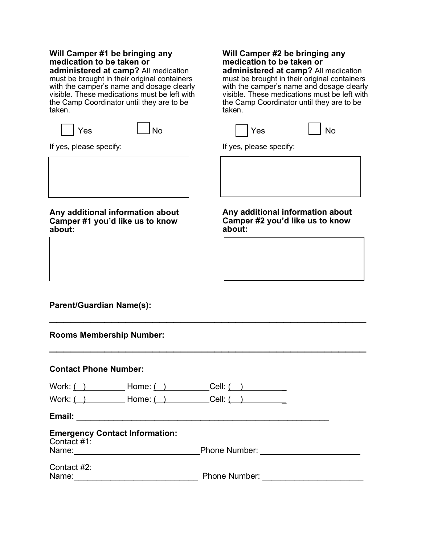### **Will Camper #1 be bringing any medication to be taken or**

**administered at camp?** All medication must be brought in their original containers with the camper's name and dosage clearly visible. These medications must be left with the Camp Coordinator until they are to be taken.

| <b>Yes</b> | l No |
|------------|------|
|------------|------|

If yes, please specify:

#### **Any additional information about Camper #1 you'd like us to know about:**

## **Will Camper #2 be bringing any medication to be taken or**

**administered at camp?** All medication must be brought in their original containers with the camper's name and dosage clearly visible. These medications must be left with the Camp Coordinator until they are to be taken.



If yes, please specify:

**Any additional information about Camper #2 you'd like us to know about:**

## **Parent/Guardian Name(s):**

| <b>Contact Phone Number:</b> |                                                                                                               |                       |  |
|------------------------------|---------------------------------------------------------------------------------------------------------------|-----------------------|--|
| Work: $($ $)$                | Home: $($ $)$                                                                                                 | Cell: $\qquad \qquad$ |  |
|                              |                                                                                                               |                       |  |
|                              | Email: 2008 - 2008 - 2008 - 2019 - 2019 - 2019 - 2019 - 2019 - 2019 - 2019 - 2019 - 2019 - 2019 - 2019 - 2019 |                       |  |
| Contact #1:                  | <b>Emergency Contact Information:</b>                                                                         |                       |  |
|                              | Name: <u>_________________________________</u>                                                                |                       |  |
| Contact #2:<br>Name:         |                                                                                                               |                       |  |

 $\mathcal{L}_\text{max}$  , and the contract of the contract of the contract of the contract of the contract of the contract of the contract of the contract of the contract of the contract of the contract of the contract of the contr

 $\mathcal{L}_\text{max}$  , and the contract of the contract of the contract of the contract of the contract of the contract of the contract of the contract of the contract of the contract of the contract of the contract of the contr